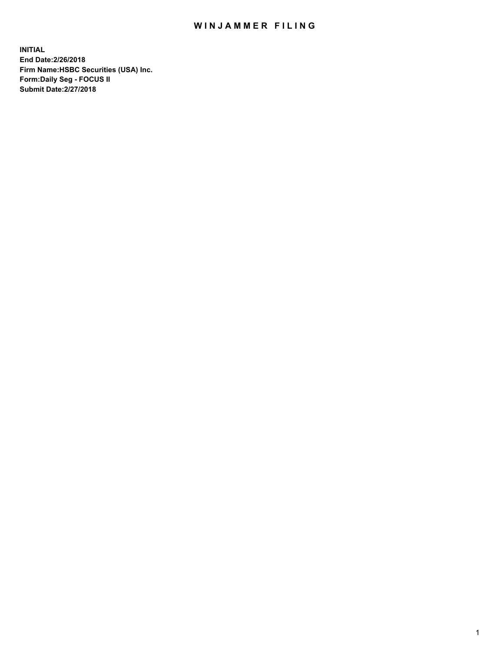## WIN JAMMER FILING

**INITIAL End Date:2/26/2018 Firm Name:HSBC Securities (USA) Inc. Form:Daily Seg - FOCUS II Submit Date:2/27/2018**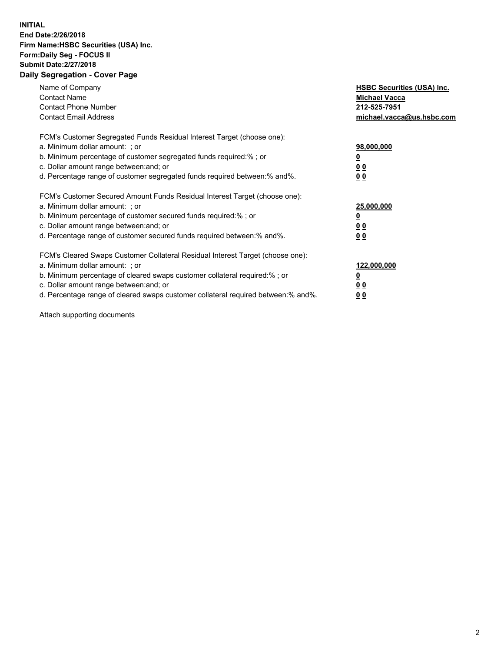## **INITIAL End Date:2/26/2018 Firm Name:HSBC Securities (USA) Inc. Form:Daily Seg - FOCUS II Submit Date:2/27/2018 Daily Segregation - Cover Page**

| Name of Company<br><b>Contact Name</b><br><b>Contact Phone Number</b><br><b>Contact Email Address</b>                                                                                                                                                                                                                         | <b>HSBC Securities (USA) Inc.</b><br><b>Michael Vacca</b><br>212-525-7951<br>michael.vacca@us.hsbc.com |
|-------------------------------------------------------------------------------------------------------------------------------------------------------------------------------------------------------------------------------------------------------------------------------------------------------------------------------|--------------------------------------------------------------------------------------------------------|
| FCM's Customer Segregated Funds Residual Interest Target (choose one):<br>a. Minimum dollar amount: ; or<br>b. Minimum percentage of customer segregated funds required:%; or<br>c. Dollar amount range between: and; or<br>d. Percentage range of customer segregated funds required between: % and %.                       | 98,000,000<br><u>0</u><br><u>00</u><br><u>00</u>                                                       |
| FCM's Customer Secured Amount Funds Residual Interest Target (choose one):<br>a. Minimum dollar amount: ; or<br>b. Minimum percentage of customer secured funds required:%; or<br>c. Dollar amount range between: and; or<br>d. Percentage range of customer secured funds required between: % and %.                         | 25,000,000<br><u>0</u><br><u>00</u><br>00                                                              |
| FCM's Cleared Swaps Customer Collateral Residual Interest Target (choose one):<br>a. Minimum dollar amount: ; or<br>b. Minimum percentage of cleared swaps customer collateral required:%; or<br>c. Dollar amount range between: and; or<br>d. Percentage range of cleared swaps customer collateral required between:% and%. | 122,000,000<br><u>0</u><br><u>00</u><br><u>00</u>                                                      |

Attach supporting documents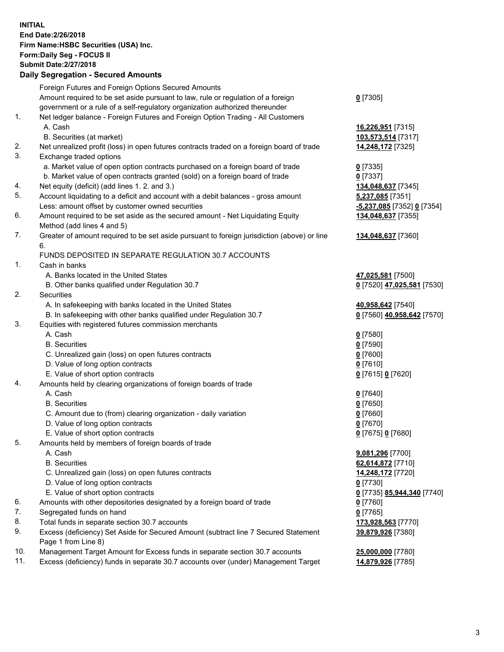**INITIAL End Date:2/26/2018 Firm Name:HSBC Securities (USA) Inc. Form:Daily Seg - FOCUS II Submit Date:2/27/2018 Daily Segregation - Secured Amounts**

Foreign Futures and Foreign Options Secured Amounts Amount required to be set aside pursuant to law, rule or regulation of a foreign government or a rule of a self-regulatory organization authorized thereunder **0** [7305] 1. Net ledger balance - Foreign Futures and Foreign Option Trading - All Customers A. Cash **16,226,951** [7315] B. Securities (at market) **103,573,514** [7317] 2. Net unrealized profit (loss) in open futures contracts traded on a foreign board of trade **14,248,172** [7325] 3. Exchange traded options a. Market value of open option contracts purchased on a foreign board of trade **0** [7335] b. Market value of open contracts granted (sold) on a foreign board of trade **0** [7337] 4. Net equity (deficit) (add lines 1. 2. and 3.) **134,048,637** [7345] 5. Account liquidating to a deficit and account with a debit balances - gross amount **5,237,085** [7351] Less: amount offset by customer owned securities **-5,237,085** [7352] **0** [7354] 6. Amount required to be set aside as the secured amount - Net Liquidating Equity Method (add lines 4 and 5) **134,048,637** [7355] 7. Greater of amount required to be set aside pursuant to foreign jurisdiction (above) or line 6. **134,048,637** [7360] FUNDS DEPOSITED IN SEPARATE REGULATION 30.7 ACCOUNTS 1. Cash in banks A. Banks located in the United States **47,025,581** [7500] B. Other banks qualified under Regulation 30.7 **0** [7520] **47,025,581** [7530] 2. Securities A. In safekeeping with banks located in the United States **40,958,642** [7540] B. In safekeeping with other banks qualified under Regulation 30.7 **0** [7560] **40,958,642** [7570] 3. Equities with registered futures commission merchants A. Cash **0** [7580] B. Securities **0** [7590] C. Unrealized gain (loss) on open futures contracts **0** [7600] D. Value of long option contracts **0** [7610] E. Value of short option contracts **0** [7615] **0** [7620] 4. Amounts held by clearing organizations of foreign boards of trade A. Cash **0** [7640] B. Securities **0** [7650] C. Amount due to (from) clearing organization - daily variation **0** [7660] D. Value of long option contracts **0** [7670] E. Value of short option contracts **0** [7675] **0** [7680] 5. Amounts held by members of foreign boards of trade A. Cash **9,081,296** [7700] B. Securities **62,614,872** [7710] C. Unrealized gain (loss) on open futures contracts **14,248,172** [7720] D. Value of long option contracts **0** [7730] E. Value of short option contracts **0** [7735] **85,944,340** [7740] 6. Amounts with other depositories designated by a foreign board of trade **0** [7760] 7. Segregated funds on hand **0** [7765] 8. Total funds in separate section 30.7 accounts **173,928,563** [7770] 9. Excess (deficiency) Set Aside for Secured Amount (subtract line 7 Secured Statement Page 1 from Line 8) **39,879,926** [7380] 10. Management Target Amount for Excess funds in separate section 30.7 accounts **25,000,000** [7780] 11. Excess (deficiency) funds in separate 30.7 accounts over (under) Management Target **14,879,926** [7785]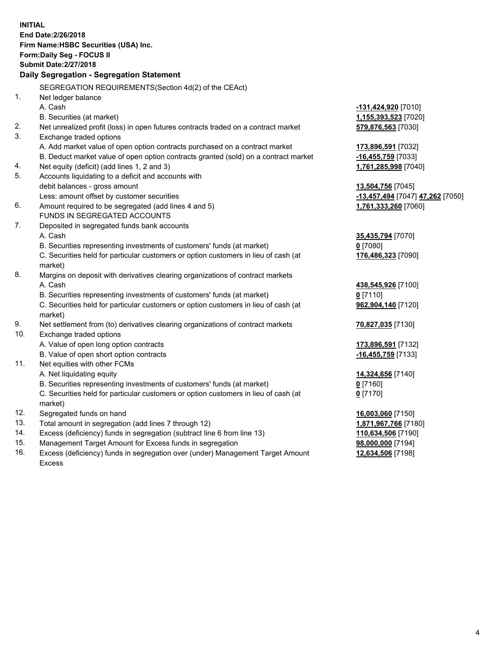**INITIAL End Date:2/26/2018 Firm Name:HSBC Securities (USA) Inc. Form:Daily Seg - FOCUS II Submit Date:2/27/2018 Daily Segregation - Segregation Statement** SEGREGATION REQUIREMENTS(Section 4d(2) of the CEAct) 1. Net ledger balance A. Cash **-131,424,920** [7010] B. Securities (at market) **1,155,393,523** [7020] 2. Net unrealized profit (loss) in open futures contracts traded on a contract market **579,876,563** [7030] 3. Exchange traded options A. Add market value of open option contracts purchased on a contract market **173,896,591** [7032] B. Deduct market value of open option contracts granted (sold) on a contract market **-16,455,759** [7033] 4. Net equity (deficit) (add lines 1, 2 and 3) **1,761,285,998** [7040] 5. Accounts liquidating to a deficit and accounts with debit balances - gross amount **13,504,756** [7045] Less: amount offset by customer securities **-13,457,494** [7047] **47,262** [7050] 6. Amount required to be segregated (add lines 4 and 5) **1,761,333,260** [7060] FUNDS IN SEGREGATED ACCOUNTS 7. Deposited in segregated funds bank accounts A. Cash **35,435,794** [7070] B. Securities representing investments of customers' funds (at market) **0** [7080] C. Securities held for particular customers or option customers in lieu of cash (at market) **176,486,323** [7090] 8. Margins on deposit with derivatives clearing organizations of contract markets A. Cash **438,545,926** [7100] B. Securities representing investments of customers' funds (at market) **0** [7110] C. Securities held for particular customers or option customers in lieu of cash (at market) **962,904,140** [7120] 9. Net settlement from (to) derivatives clearing organizations of contract markets **70,827,035** [7130] 10. Exchange traded options A. Value of open long option contracts **173,896,591** [7132] B. Value of open short option contracts **-16,455,759** [7133] 11. Net equities with other FCMs A. Net liquidating equity **14,324,656** [7140] B. Securities representing investments of customers' funds (at market) **0** [7160] C. Securities held for particular customers or option customers in lieu of cash (at market) **0** [7170] 12. Segregated funds on hand **16,003,060** [7150] 13. Total amount in segregation (add lines 7 through 12) **1,871,967,766** [7180] 14. Excess (deficiency) funds in segregation (subtract line 6 from line 13) **110,634,506** [7190] 15. Management Target Amount for Excess funds in segregation **98,000,000** [7194]

16. Excess (deficiency) funds in segregation over (under) Management Target Amount Excess

**12,634,506** [7198]